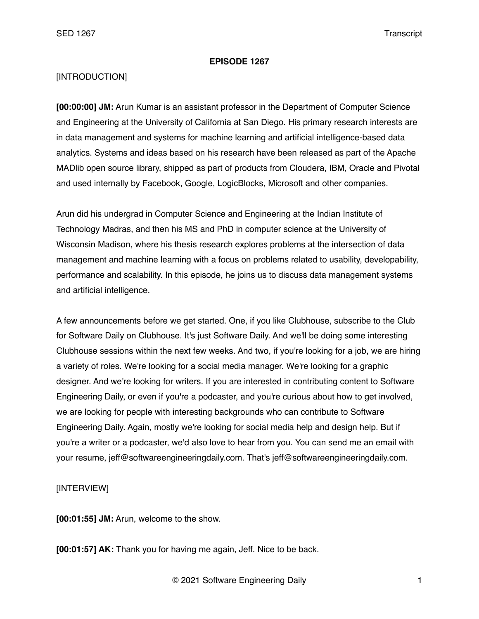## **EPISODE 1267**

## [INTRODUCTION]

**[00:00:00] JM:** Arun Kumar is an assistant professor in the Department of Computer Science and Engineering at the University of California at San Diego. His primary research interests are in data management and systems for machine learning and artificial intelligence-based data analytics. Systems and ideas based on his research have been released as part of the Apache MADlib open source library, shipped as part of products from Cloudera, IBM, Oracle and Pivotal and used internally by Facebook, Google, LogicBlocks, Microsoft and other companies.

Arun did his undergrad in Computer Science and Engineering at the Indian Institute of Technology Madras, and then his MS and PhD in computer science at the University of Wisconsin Madison, where his thesis research explores problems at the intersection of data management and machine learning with a focus on problems related to usability, developability, performance and scalability. In this episode, he joins us to discuss data management systems and artificial intelligence.

A few announcements before we get started. One, if you like Clubhouse, subscribe to the Club for Software Daily on Clubhouse. It's just Software Daily. And we'll be doing some interesting Clubhouse sessions within the next few weeks. And two, if you're looking for a job, we are hiring a variety of roles. We're looking for a social media manager. We're looking for a graphic designer. And we're looking for writers. If you are interested in contributing content to Software Engineering Daily, or even if you're a podcaster, and you're curious about how to get involved, we are looking for people with interesting backgrounds who can contribute to Software Engineering Daily. Again, mostly we're looking for social media help and design help. But if you're a writer or a podcaster, we'd also love to hear from you. You can send me an email with your resume, jeff@softwareengineeringdaily.com. That's jeff@softwareengineeringdaily.com.

## [INTERVIEW]

**[00:01:55] JM:** Arun, welcome to the show.

**[00:01:57] AK:** Thank you for having me again, Jeff. Nice to be back.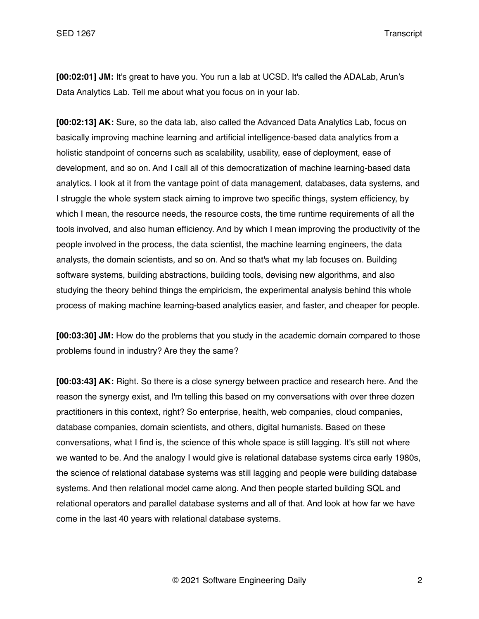**[00:02:01] JM:** It's great to have you. You run a lab at UCSD. It's called the ADALab, Arun's Data Analytics Lab. Tell me about what you focus on in your lab.

**[00:02:13] AK:** Sure, so the data lab, also called the Advanced Data Analytics Lab, focus on basically improving machine learning and artificial intelligence-based data analytics from a holistic standpoint of concerns such as scalability, usability, ease of deployment, ease of development, and so on. And I call all of this democratization of machine learning-based data analytics. I look at it from the vantage point of data management, databases, data systems, and I struggle the whole system stack aiming to improve two specific things, system efficiency, by which I mean, the resource needs, the resource costs, the time runtime requirements of all the tools involved, and also human efficiency. And by which I mean improving the productivity of the people involved in the process, the data scientist, the machine learning engineers, the data analysts, the domain scientists, and so on. And so that's what my lab focuses on. Building software systems, building abstractions, building tools, devising new algorithms, and also studying the theory behind things the empiricism, the experimental analysis behind this whole process of making machine learning-based analytics easier, and faster, and cheaper for people.

**[00:03:30] JM:** How do the problems that you study in the academic domain compared to those problems found in industry? Are they the same?

**[00:03:43] AK:** Right. So there is a close synergy between practice and research here. And the reason the synergy exist, and I'm telling this based on my conversations with over three dozen practitioners in this context, right? So enterprise, health, web companies, cloud companies, database companies, domain scientists, and others, digital humanists. Based on these conversations, what I find is, the science of this whole space is still lagging. It's still not where we wanted to be. And the analogy I would give is relational database systems circa early 1980s, the science of relational database systems was still lagging and people were building database systems. And then relational model came along. And then people started building SQL and relational operators and parallel database systems and all of that. And look at how far we have come in the last 40 years with relational database systems.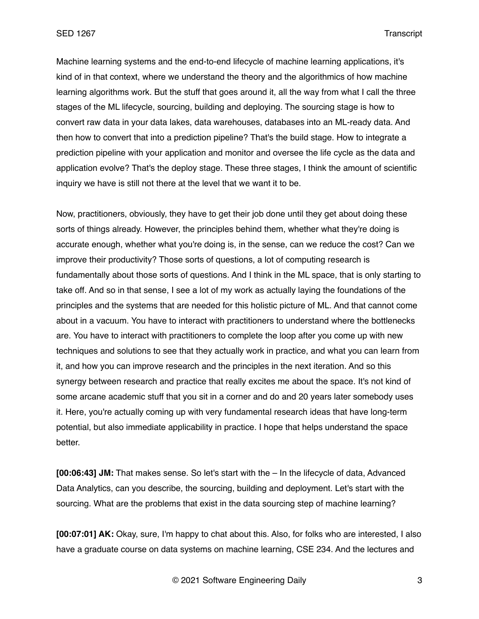Machine learning systems and the end-to-end lifecycle of machine learning applications, it's kind of in that context, where we understand the theory and the algorithmics of how machine learning algorithms work. But the stuff that goes around it, all the way from what I call the three stages of the ML lifecycle, sourcing, building and deploying. The sourcing stage is how to convert raw data in your data lakes, data warehouses, databases into an ML-ready data. And then how to convert that into a prediction pipeline? That's the build stage. How to integrate a prediction pipeline with your application and monitor and oversee the life cycle as the data and application evolve? That's the deploy stage. These three stages, I think the amount of scientific inquiry we have is still not there at the level that we want it to be.

Now, practitioners, obviously, they have to get their job done until they get about doing these sorts of things already. However, the principles behind them, whether what they're doing is accurate enough, whether what you're doing is, in the sense, can we reduce the cost? Can we improve their productivity? Those sorts of questions, a lot of computing research is fundamentally about those sorts of questions. And I think in the ML space, that is only starting to take off. And so in that sense, I see a lot of my work as actually laying the foundations of the principles and the systems that are needed for this holistic picture of ML. And that cannot come about in a vacuum. You have to interact with practitioners to understand where the bottlenecks are. You have to interact with practitioners to complete the loop after you come up with new techniques and solutions to see that they actually work in practice, and what you can learn from it, and how you can improve research and the principles in the next iteration. And so this synergy between research and practice that really excites me about the space. It's not kind of some arcane academic stuff that you sit in a corner and do and 20 years later somebody uses it. Here, you're actually coming up with very fundamental research ideas that have long-term potential, but also immediate applicability in practice. I hope that helps understand the space better.

**[00:06:43] JM:** That makes sense. So let's start with the – In the lifecycle of data, Advanced Data Analytics, can you describe, the sourcing, building and deployment. Let's start with the sourcing. What are the problems that exist in the data sourcing step of machine learning?

**[00:07:01] AK:** Okay, sure, I'm happy to chat about this. Also, for folks who are interested, I also have a graduate course on data systems on machine learning, CSE 234. And the lectures and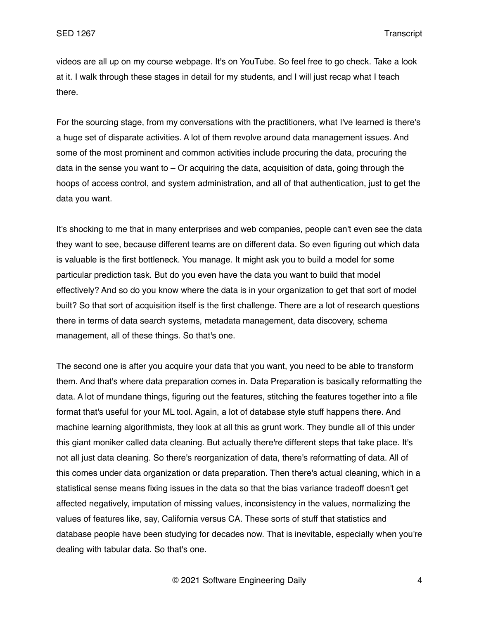videos are all up on my course webpage. It's on YouTube. So feel free to go check. Take a look at it. I walk through these stages in detail for my students, and I will just recap what I teach there.

For the sourcing stage, from my conversations with the practitioners, what I've learned is there's a huge set of disparate activities. A lot of them revolve around data management issues. And some of the most prominent and common activities include procuring the data, procuring the data in the sense you want to  $-$  Or acquiring the data, acquisition of data, going through the hoops of access control, and system administration, and all of that authentication, just to get the data you want.

It's shocking to me that in many enterprises and web companies, people can't even see the data they want to see, because different teams are on different data. So even figuring out which data is valuable is the first bottleneck. You manage. It might ask you to build a model for some particular prediction task. But do you even have the data you want to build that model effectively? And so do you know where the data is in your organization to get that sort of model built? So that sort of acquisition itself is the first challenge. There are a lot of research questions there in terms of data search systems, metadata management, data discovery, schema management, all of these things. So that's one.

The second one is after you acquire your data that you want, you need to be able to transform them. And that's where data preparation comes in. Data Preparation is basically reformatting the data. A lot of mundane things, figuring out the features, stitching the features together into a file format that's useful for your ML tool. Again, a lot of database style stuff happens there. And machine learning algorithmists, they look at all this as grunt work. They bundle all of this under this giant moniker called data cleaning. But actually there're different steps that take place. It's not all just data cleaning. So there's reorganization of data, there's reformatting of data. All of this comes under data organization or data preparation. Then there's actual cleaning, which in a statistical sense means fixing issues in the data so that the bias variance tradeoff doesn't get affected negatively, imputation of missing values, inconsistency in the values, normalizing the values of features like, say, California versus CA. These sorts of stuff that statistics and database people have been studying for decades now. That is inevitable, especially when you're dealing with tabular data. So that's one.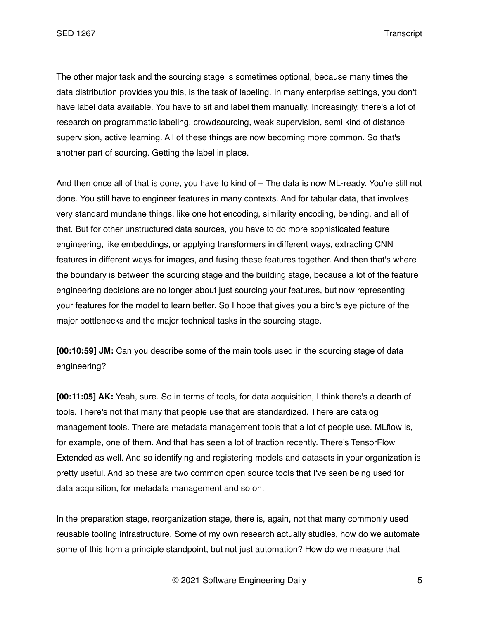The other major task and the sourcing stage is sometimes optional, because many times the data distribution provides you this, is the task of labeling. In many enterprise settings, you don't have label data available. You have to sit and label them manually. Increasingly, there's a lot of research on programmatic labeling, crowdsourcing, weak supervision, semi kind of distance supervision, active learning. All of these things are now becoming more common. So that's another part of sourcing. Getting the label in place.

And then once all of that is done, you have to kind of – The data is now ML-ready. You're still not done. You still have to engineer features in many contexts. And for tabular data, that involves very standard mundane things, like one hot encoding, similarity encoding, bending, and all of that. But for other unstructured data sources, you have to do more sophisticated feature engineering, like embeddings, or applying transformers in different ways, extracting CNN features in different ways for images, and fusing these features together. And then that's where the boundary is between the sourcing stage and the building stage, because a lot of the feature engineering decisions are no longer about just sourcing your features, but now representing your features for the model to learn better. So I hope that gives you a bird's eye picture of the major bottlenecks and the major technical tasks in the sourcing stage.

**[00:10:59] JM:** Can you describe some of the main tools used in the sourcing stage of data engineering?

**[00:11:05] AK:** Yeah, sure. So in terms of tools, for data acquisition, I think there's a dearth of tools. There's not that many that people use that are standardized. There are catalog management tools. There are metadata management tools that a lot of people use. MLflow is, for example, one of them. And that has seen a lot of traction recently. There's TensorFlow Extended as well. And so identifying and registering models and datasets in your organization is pretty useful. And so these are two common open source tools that I've seen being used for data acquisition, for metadata management and so on.

In the preparation stage, reorganization stage, there is, again, not that many commonly used reusable tooling infrastructure. Some of my own research actually studies, how do we automate some of this from a principle standpoint, but not just automation? How do we measure that

© 2021 Software Engineering Daily 5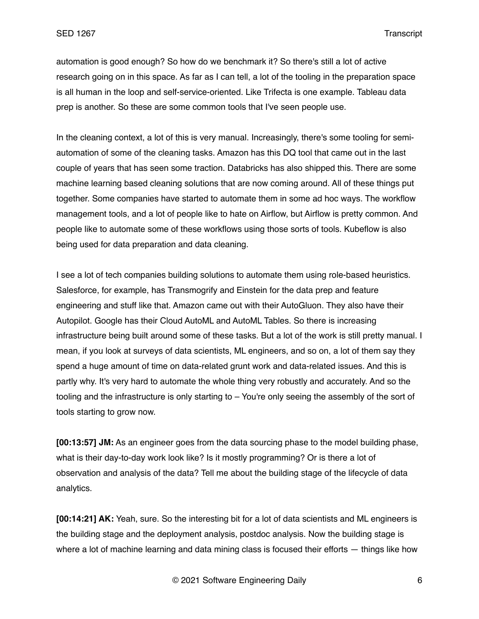automation is good enough? So how do we benchmark it? So there's still a lot of active research going on in this space. As far as I can tell, a lot of the tooling in the preparation space is all human in the loop and self-service-oriented. Like Trifecta is one example. Tableau data prep is another. So these are some common tools that I've seen people use.

In the cleaning context, a lot of this is very manual. Increasingly, there's some tooling for semiautomation of some of the cleaning tasks. Amazon has this DQ tool that came out in the last couple of years that has seen some traction. Databricks has also shipped this. There are some machine learning based cleaning solutions that are now coming around. All of these things put together. Some companies have started to automate them in some ad hoc ways. The workflow management tools, and a lot of people like to hate on Airflow, but Airflow is pretty common. And people like to automate some of these workflows using those sorts of tools. Kubeflow is also being used for data preparation and data cleaning.

I see a lot of tech companies building solutions to automate them using role-based heuristics. Salesforce, for example, has Transmogrify and Einstein for the data prep and feature engineering and stuff like that. Amazon came out with their AutoGluon. They also have their Autopilot. Google has their Cloud AutoML and AutoML Tables. So there is increasing infrastructure being built around some of these tasks. But a lot of the work is still pretty manual. I mean, if you look at surveys of data scientists, ML engineers, and so on, a lot of them say they spend a huge amount of time on data-related grunt work and data-related issues. And this is partly why. It's very hard to automate the whole thing very robustly and accurately. And so the tooling and the infrastructure is only starting to – You're only seeing the assembly of the sort of tools starting to grow now.

**[00:13:57] JM:** As an engineer goes from the data sourcing phase to the model building phase, what is their day-to-day work look like? Is it mostly programming? Or is there a lot of observation and analysis of the data? Tell me about the building stage of the lifecycle of data analytics.

**[00:14:21] AK:** Yeah, sure. So the interesting bit for a lot of data scientists and ML engineers is the building stage and the deployment analysis, postdoc analysis. Now the building stage is where a lot of machine learning and data mining class is focused their efforts — things like how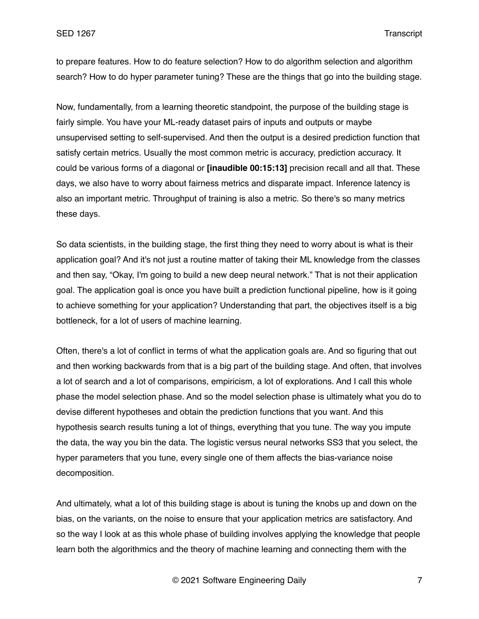to prepare features. How to do feature selection? How to do algorithm selection and algorithm search? How to do hyper parameter tuning? These are the things that go into the building stage.

Now, fundamentally, from a learning theoretic standpoint, the purpose of the building stage is fairly simple. You have your ML-ready dataset pairs of inputs and outputs or maybe unsupervised setting to self-supervised. And then the output is a desired prediction function that satisfy certain metrics. Usually the most common metric is accuracy, prediction accuracy. It could be various forms of a diagonal or **[inaudible 00:15:13]** precision recall and all that. These days, we also have to worry about fairness metrics and disparate impact. Inference latency is also an important metric. Throughput of training is also a metric. So there's so many metrics these days.

So data scientists, in the building stage, the first thing they need to worry about is what is their application goal? And it's not just a routine matter of taking their ML knowledge from the classes and then say, "Okay, I'm going to build a new deep neural network." That is not their application goal. The application goal is once you have built a prediction functional pipeline, how is it going to achieve something for your application? Understanding that part, the objectives itself is a big bottleneck, for a lot of users of machine learning.

Often, there's a lot of conflict in terms of what the application goals are. And so figuring that out and then working backwards from that is a big part of the building stage. And often, that involves a lot of search and a lot of comparisons, empiricism, a lot of explorations. And I call this whole phase the model selection phase. And so the model selection phase is ultimately what you do to devise different hypotheses and obtain the prediction functions that you want. And this hypothesis search results tuning a lot of things, everything that you tune. The way you impute the data, the way you bin the data. The logistic versus neural networks SS3 that you select, the hyper parameters that you tune, every single one of them affects the bias-variance noise decomposition.

And ultimately, what a lot of this building stage is about is tuning the knobs up and down on the bias, on the variants, on the noise to ensure that your application metrics are satisfactory. And so the way I look at as this whole phase of building involves applying the knowledge that people learn both the algorithmics and the theory of machine learning and connecting them with the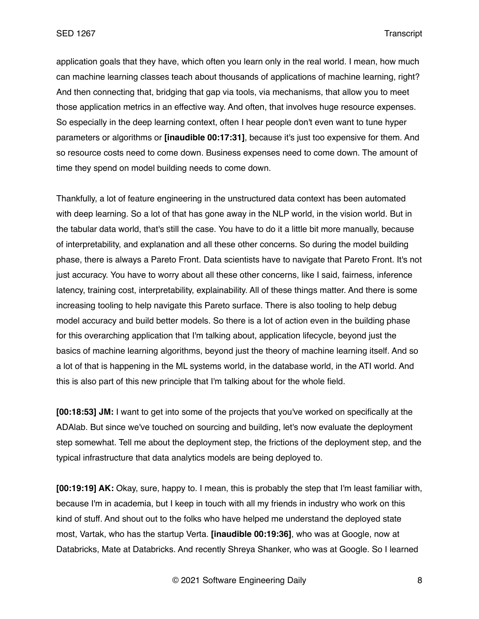application goals that they have, which often you learn only in the real world. I mean, how much can machine learning classes teach about thousands of applications of machine learning, right? And then connecting that, bridging that gap via tools, via mechanisms, that allow you to meet those application metrics in an effective way. And often, that involves huge resource expenses. So especially in the deep learning context, often I hear people don't even want to tune hyper parameters or algorithms or **[inaudible 00:17:31]**, because it's just too expensive for them. And so resource costs need to come down. Business expenses need to come down. The amount of time they spend on model building needs to come down.

Thankfully, a lot of feature engineering in the unstructured data context has been automated with deep learning. So a lot of that has gone away in the NLP world, in the vision world. But in the tabular data world, that's still the case. You have to do it a little bit more manually, because of interpretability, and explanation and all these other concerns. So during the model building phase, there is always a Pareto Front. Data scientists have to navigate that Pareto Front. It's not just accuracy. You have to worry about all these other concerns, like I said, fairness, inference latency, training cost, interpretability, explainability. All of these things matter. And there is some increasing tooling to help navigate this Pareto surface. There is also tooling to help debug model accuracy and build better models. So there is a lot of action even in the building phase for this overarching application that I'm talking about, application lifecycle, beyond just the basics of machine learning algorithms, beyond just the theory of machine learning itself. And so a lot of that is happening in the ML systems world, in the database world, in the ATI world. And this is also part of this new principle that I'm talking about for the whole field.

**[00:18:53] JM:** I want to get into some of the projects that you've worked on specifically at the ADAlab. But since we've touched on sourcing and building, let's now evaluate the deployment step somewhat. Tell me about the deployment step, the frictions of the deployment step, and the typical infrastructure that data analytics models are being deployed to.

**[00:19:19] AK:** Okay, sure, happy to. I mean, this is probably the step that I'm least familiar with, because I'm in academia, but I keep in touch with all my friends in industry who work on this kind of stuff. And shout out to the folks who have helped me understand the deployed state most, Vartak, who has the startup Verta. **[inaudible 00:19:36]**, who was at Google, now at Databricks, Mate at Databricks. And recently Shreya Shanker, who was at Google. So I learned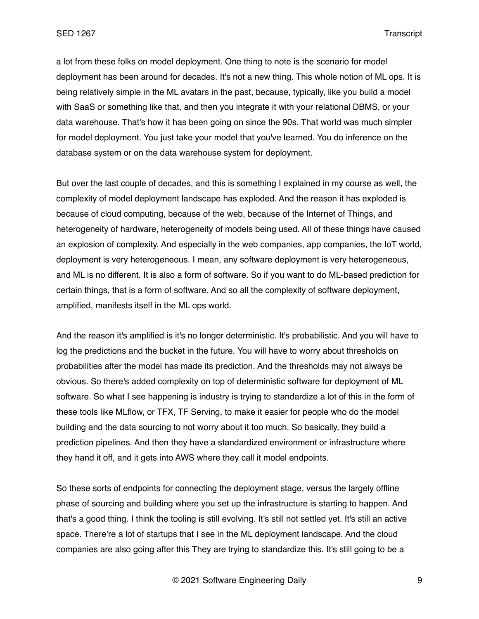a lot from these folks on model deployment. One thing to note is the scenario for model deployment has been around for decades. It's not a new thing. This whole notion of ML ops. It is being relatively simple in the ML avatars in the past, because, typically, like you build a model with SaaS or something like that, and then you integrate it with your relational DBMS, or your data warehouse. That's how it has been going on since the 90s. That world was much simpler for model deployment. You just take your model that you've learned. You do inference on the database system or on the data warehouse system for deployment.

But over the last couple of decades, and this is something I explained in my course as well, the complexity of model deployment landscape has exploded. And the reason it has exploded is because of cloud computing, because of the web, because of the Internet of Things, and heterogeneity of hardware, heterogeneity of models being used. All of these things have caused an explosion of complexity. And especially in the web companies, app companies, the IoT world, deployment is very heterogeneous. I mean, any software deployment is very heterogeneous, and ML is no different. It is also a form of software. So if you want to do ML-based prediction for certain things, that is a form of software. And so all the complexity of software deployment, amplified, manifests itself in the ML ops world.

And the reason it's amplified is it's no longer deterministic. It's probabilistic. And you will have to log the predictions and the bucket in the future. You will have to worry about thresholds on probabilities after the model has made its prediction. And the thresholds may not always be obvious. So there's added complexity on top of deterministic software for deployment of ML software. So what I see happening is industry is trying to standardize a lot of this in the form of these tools like MLflow, or TFX, TF Serving, to make it easier for people who do the model building and the data sourcing to not worry about it too much. So basically, they build a prediction pipelines. And then they have a standardized environment or infrastructure where they hand it off, and it gets into AWS where they call it model endpoints.

So these sorts of endpoints for connecting the deployment stage, versus the largely offline phase of sourcing and building where you set up the infrastructure is starting to happen. And that's a good thing. I think the tooling is still evolving. It's still not settled yet. It's still an active space. There're a lot of startups that I see in the ML deployment landscape. And the cloud companies are also going after this They are trying to standardize this. It's still going to be a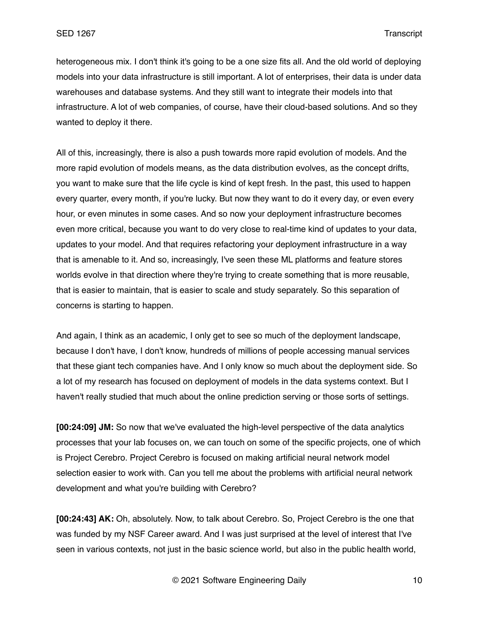heterogeneous mix. I don't think it's going to be a one size fits all. And the old world of deploying models into your data infrastructure is still important. A lot of enterprises, their data is under data warehouses and database systems. And they still want to integrate their models into that infrastructure. A lot of web companies, of course, have their cloud-based solutions. And so they wanted to deploy it there.

All of this, increasingly, there is also a push towards more rapid evolution of models. And the more rapid evolution of models means, as the data distribution evolves, as the concept drifts, you want to make sure that the life cycle is kind of kept fresh. In the past, this used to happen every quarter, every month, if you're lucky. But now they want to do it every day, or even every hour, or even minutes in some cases. And so now your deployment infrastructure becomes even more critical, because you want to do very close to real-time kind of updates to your data, updates to your model. And that requires refactoring your deployment infrastructure in a way that is amenable to it. And so, increasingly, I've seen these ML platforms and feature stores worlds evolve in that direction where they're trying to create something that is more reusable, that is easier to maintain, that is easier to scale and study separately. So this separation of concerns is starting to happen.

And again, I think as an academic, I only get to see so much of the deployment landscape, because I don't have, I don't know, hundreds of millions of people accessing manual services that these giant tech companies have. And I only know so much about the deployment side. So a lot of my research has focused on deployment of models in the data systems context. But I haven't really studied that much about the online prediction serving or those sorts of settings.

**[00:24:09] JM:** So now that we've evaluated the high-level perspective of the data analytics processes that your lab focuses on, we can touch on some of the specific projects, one of which is Project Cerebro. Project Cerebro is focused on making artificial neural network model selection easier to work with. Can you tell me about the problems with artificial neural network development and what you're building with Cerebro?

**[00:24:43] AK:** Oh, absolutely. Now, to talk about Cerebro. So, Project Cerebro is the one that was funded by my NSF Career award. And I was just surprised at the level of interest that I've seen in various contexts, not just in the basic science world, but also in the public health world,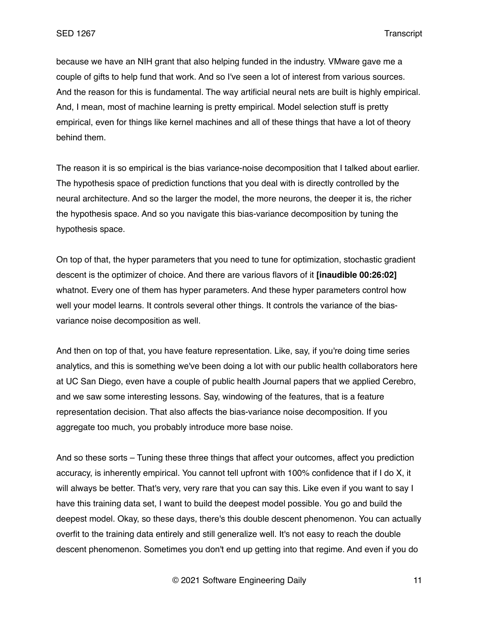because we have an NIH grant that also helping funded in the industry. VMware gave me a couple of gifts to help fund that work. And so I've seen a lot of interest from various sources. And the reason for this is fundamental. The way artificial neural nets are built is highly empirical. And, I mean, most of machine learning is pretty empirical. Model selection stuff is pretty empirical, even for things like kernel machines and all of these things that have a lot of theory behind them.

The reason it is so empirical is the bias variance-noise decomposition that I talked about earlier. The hypothesis space of prediction functions that you deal with is directly controlled by the neural architecture. And so the larger the model, the more neurons, the deeper it is, the richer the hypothesis space. And so you navigate this bias-variance decomposition by tuning the hypothesis space.

On top of that, the hyper parameters that you need to tune for optimization, stochastic gradient descent is the optimizer of choice. And there are various flavors of it **[inaudible 00:26:02]**  whatnot. Every one of them has hyper parameters. And these hyper parameters control how well your model learns. It controls several other things. It controls the variance of the biasvariance noise decomposition as well.

And then on top of that, you have feature representation. Like, say, if you're doing time series analytics, and this is something we've been doing a lot with our public health collaborators here at UC San Diego, even have a couple of public health Journal papers that we applied Cerebro, and we saw some interesting lessons. Say, windowing of the features, that is a feature representation decision. That also affects the bias-variance noise decomposition. If you aggregate too much, you probably introduce more base noise.

And so these sorts – Tuning these three things that affect your outcomes, affect you prediction accuracy, is inherently empirical. You cannot tell upfront with 100% confidence that if I do X, it will always be better. That's very, very rare that you can say this. Like even if you want to say I have this training data set, I want to build the deepest model possible. You go and build the deepest model. Okay, so these days, there's this double descent phenomenon. You can actually overfit to the training data entirely and still generalize well. It's not easy to reach the double descent phenomenon. Sometimes you don't end up getting into that regime. And even if you do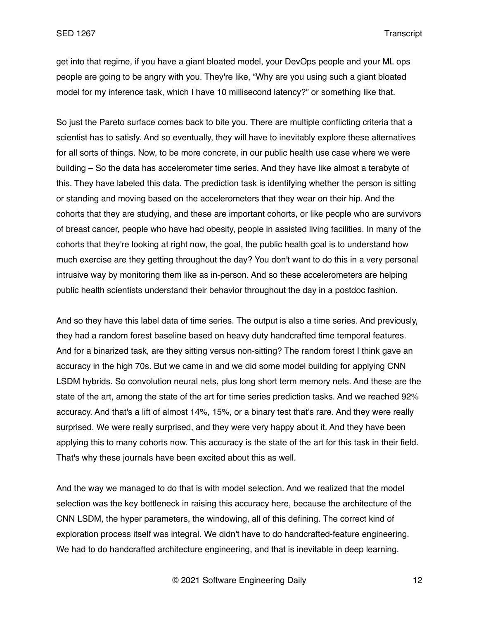get into that regime, if you have a giant bloated model, your DevOps people and your ML ops people are going to be angry with you. They're like, "Why are you using such a giant bloated model for my inference task, which I have 10 millisecond latency?" or something like that.

So just the Pareto surface comes back to bite you. There are multiple conflicting criteria that a scientist has to satisfy. And so eventually, they will have to inevitably explore these alternatives for all sorts of things. Now, to be more concrete, in our public health use case where we were building – So the data has accelerometer time series. And they have like almost a terabyte of this. They have labeled this data. The prediction task is identifying whether the person is sitting or standing and moving based on the accelerometers that they wear on their hip. And the cohorts that they are studying, and these are important cohorts, or like people who are survivors of breast cancer, people who have had obesity, people in assisted living facilities. In many of the cohorts that they're looking at right now, the goal, the public health goal is to understand how much exercise are they getting throughout the day? You don't want to do this in a very personal intrusive way by monitoring them like as in-person. And so these accelerometers are helping public health scientists understand their behavior throughout the day in a postdoc fashion.

And so they have this label data of time series. The output is also a time series. And previously, they had a random forest baseline based on heavy duty handcrafted time temporal features. And for a binarized task, are they sitting versus non-sitting? The random forest I think gave an accuracy in the high 70s. But we came in and we did some model building for applying CNN LSDM hybrids. So convolution neural nets, plus long short term memory nets. And these are the state of the art, among the state of the art for time series prediction tasks. And we reached 92% accuracy. And that's a lift of almost 14%, 15%, or a binary test that's rare. And they were really surprised. We were really surprised, and they were very happy about it. And they have been applying this to many cohorts now. This accuracy is the state of the art for this task in their field. That's why these journals have been excited about this as well.

And the way we managed to do that is with model selection. And we realized that the model selection was the key bottleneck in raising this accuracy here, because the architecture of the CNN LSDM, the hyper parameters, the windowing, all of this defining. The correct kind of exploration process itself was integral. We didn't have to do handcrafted-feature engineering. We had to do handcrafted architecture engineering, and that is inevitable in deep learning.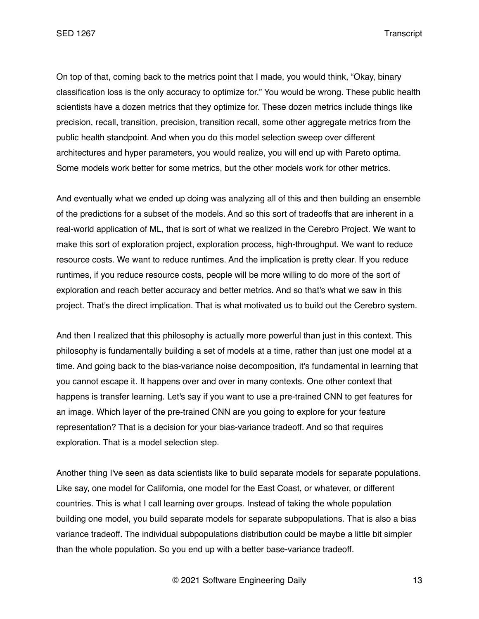On top of that, coming back to the metrics point that I made, you would think, "Okay, binary classification loss is the only accuracy to optimize for." You would be wrong. These public health scientists have a dozen metrics that they optimize for. These dozen metrics include things like precision, recall, transition, precision, transition recall, some other aggregate metrics from the public health standpoint. And when you do this model selection sweep over different architectures and hyper parameters, you would realize, you will end up with Pareto optima. Some models work better for some metrics, but the other models work for other metrics.

And eventually what we ended up doing was analyzing all of this and then building an ensemble of the predictions for a subset of the models. And so this sort of tradeoffs that are inherent in a real-world application of ML, that is sort of what we realized in the Cerebro Project. We want to make this sort of exploration project, exploration process, high-throughput. We want to reduce resource costs. We want to reduce runtimes. And the implication is pretty clear. If you reduce runtimes, if you reduce resource costs, people will be more willing to do more of the sort of exploration and reach better accuracy and better metrics. And so that's what we saw in this project. That's the direct implication. That is what motivated us to build out the Cerebro system.

And then I realized that this philosophy is actually more powerful than just in this context. This philosophy is fundamentally building a set of models at a time, rather than just one model at a time. And going back to the bias-variance noise decomposition, it's fundamental in learning that you cannot escape it. It happens over and over in many contexts. One other context that happens is transfer learning. Let's say if you want to use a pre-trained CNN to get features for an image. Which layer of the pre-trained CNN are you going to explore for your feature representation? That is a decision for your bias-variance tradeoff. And so that requires exploration. That is a model selection step.

Another thing I've seen as data scientists like to build separate models for separate populations. Like say, one model for California, one model for the East Coast, or whatever, or different countries. This is what I call learning over groups. Instead of taking the whole population building one model, you build separate models for separate subpopulations. That is also a bias variance tradeoff. The individual subpopulations distribution could be maybe a little bit simpler than the whole population. So you end up with a better base-variance tradeoff.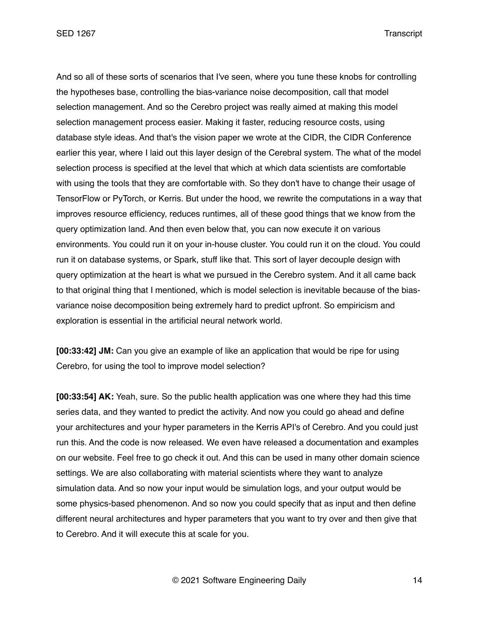And so all of these sorts of scenarios that I've seen, where you tune these knobs for controlling the hypotheses base, controlling the bias-variance noise decomposition, call that model selection management. And so the Cerebro project was really aimed at making this model selection management process easier. Making it faster, reducing resource costs, using database style ideas. And that's the vision paper we wrote at the CIDR, the CIDR Conference earlier this year, where I laid out this layer design of the Cerebral system. The what of the model selection process is specified at the level that which at which data scientists are comfortable with using the tools that they are comfortable with. So they don't have to change their usage of TensorFlow or PyTorch, or Kerris. But under the hood, we rewrite the computations in a way that improves resource efficiency, reduces runtimes, all of these good things that we know from the query optimization land. And then even below that, you can now execute it on various environments. You could run it on your in-house cluster. You could run it on the cloud. You could run it on database systems, or Spark, stuff like that. This sort of layer decouple design with query optimization at the heart is what we pursued in the Cerebro system. And it all came back to that original thing that I mentioned, which is model selection is inevitable because of the biasvariance noise decomposition being extremely hard to predict upfront. So empiricism and exploration is essential in the artificial neural network world.

**[00:33:42] JM:** Can you give an example of like an application that would be ripe for using Cerebro, for using the tool to improve model selection?

**[00:33:54] AK:** Yeah, sure. So the public health application was one where they had this time series data, and they wanted to predict the activity. And now you could go ahead and define your architectures and your hyper parameters in the Kerris API's of Cerebro. And you could just run this. And the code is now released. We even have released a documentation and examples on our website. Feel free to go check it out. And this can be used in many other domain science settings. We are also collaborating with material scientists where they want to analyze simulation data. And so now your input would be simulation logs, and your output would be some physics-based phenomenon. And so now you could specify that as input and then define different neural architectures and hyper parameters that you want to try over and then give that to Cerebro. And it will execute this at scale for you.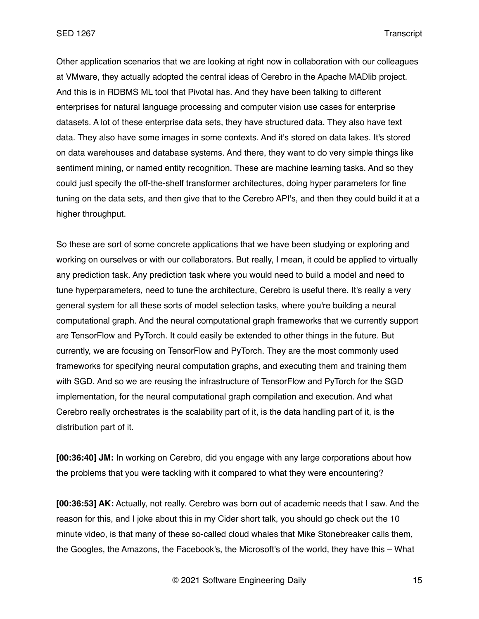Other application scenarios that we are looking at right now in collaboration with our colleagues at VMware, they actually adopted the central ideas of Cerebro in the Apache MADlib project. And this is in RDBMS ML tool that Pivotal has. And they have been talking to different enterprises for natural language processing and computer vision use cases for enterprise datasets. A lot of these enterprise data sets, they have structured data. They also have text data. They also have some images in some contexts. And it's stored on data lakes. It's stored on data warehouses and database systems. And there, they want to do very simple things like sentiment mining, or named entity recognition. These are machine learning tasks. And so they could just specify the off-the-shelf transformer architectures, doing hyper parameters for fine tuning on the data sets, and then give that to the Cerebro API's, and then they could build it at a higher throughput.

So these are sort of some concrete applications that we have been studying or exploring and working on ourselves or with our collaborators. But really, I mean, it could be applied to virtually any prediction task. Any prediction task where you would need to build a model and need to tune hyperparameters, need to tune the architecture, Cerebro is useful there. It's really a very general system for all these sorts of model selection tasks, where you're building a neural computational graph. And the neural computational graph frameworks that we currently support are TensorFlow and PyTorch. It could easily be extended to other things in the future. But currently, we are focusing on TensorFlow and PyTorch. They are the most commonly used frameworks for specifying neural computation graphs, and executing them and training them with SGD. And so we are reusing the infrastructure of TensorFlow and PyTorch for the SGD implementation, for the neural computational graph compilation and execution. And what Cerebro really orchestrates is the scalability part of it, is the data handling part of it, is the distribution part of it.

**[00:36:40] JM:** In working on Cerebro, did you engage with any large corporations about how the problems that you were tackling with it compared to what they were encountering?

**[00:36:53] AK:** Actually, not really. Cerebro was born out of academic needs that I saw. And the reason for this, and I joke about this in my Cider short talk, you should go check out the 10 minute video, is that many of these so-called cloud whales that Mike Stonebreaker calls them, the Googles, the Amazons, the Facebook's, the Microsoft's of the world, they have this – What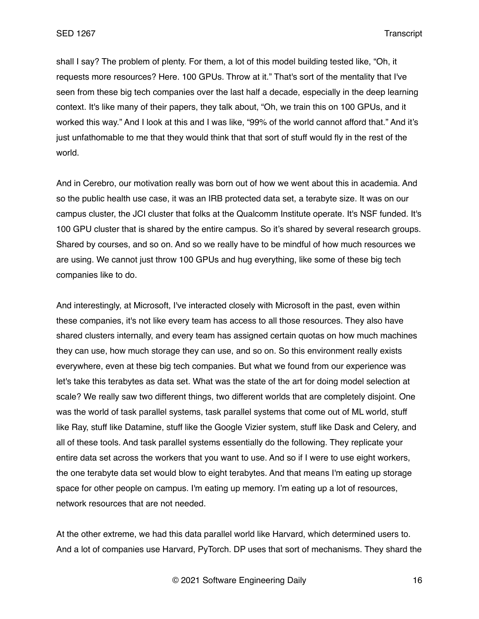shall I say? The problem of plenty. For them, a lot of this model building tested like, "Oh, it requests more resources? Here. 100 GPUs. Throw at it." That's sort of the mentality that I've seen from these big tech companies over the last half a decade, especially in the deep learning context. It's like many of their papers, they talk about, "Oh, we train this on 100 GPUs, and it worked this way." And I look at this and I was like, "99% of the world cannot afford that." And it's just unfathomable to me that they would think that that sort of stuff would fly in the rest of the world.

And in Cerebro, our motivation really was born out of how we went about this in academia. And so the public health use case, it was an IRB protected data set, a terabyte size. It was on our campus cluster, the JCI cluster that folks at the Qualcomm Institute operate. It's NSF funded. It's 100 GPU cluster that is shared by the entire campus. So it's shared by several research groups. Shared by courses, and so on. And so we really have to be mindful of how much resources we are using. We cannot just throw 100 GPUs and hug everything, like some of these big tech companies like to do.

And interestingly, at Microsoft, I've interacted closely with Microsoft in the past, even within these companies, it's not like every team has access to all those resources. They also have shared clusters internally, and every team has assigned certain quotas on how much machines they can use, how much storage they can use, and so on. So this environment really exists everywhere, even at these big tech companies. But what we found from our experience was let's take this terabytes as data set. What was the state of the art for doing model selection at scale? We really saw two different things, two different worlds that are completely disjoint. One was the world of task parallel systems, task parallel systems that come out of ML world, stuff like Ray, stuff like Datamine, stuff like the Google Vizier system, stuff like Dask and Celery, and all of these tools. And task parallel systems essentially do the following. They replicate your entire data set across the workers that you want to use. And so if I were to use eight workers, the one terabyte data set would blow to eight terabytes. And that means I'm eating up storage space for other people on campus. I'm eating up memory. I'm eating up a lot of resources, network resources that are not needed.

At the other extreme, we had this data parallel world like Harvard, which determined users to. And a lot of companies use Harvard, PyTorch. DP uses that sort of mechanisms. They shard the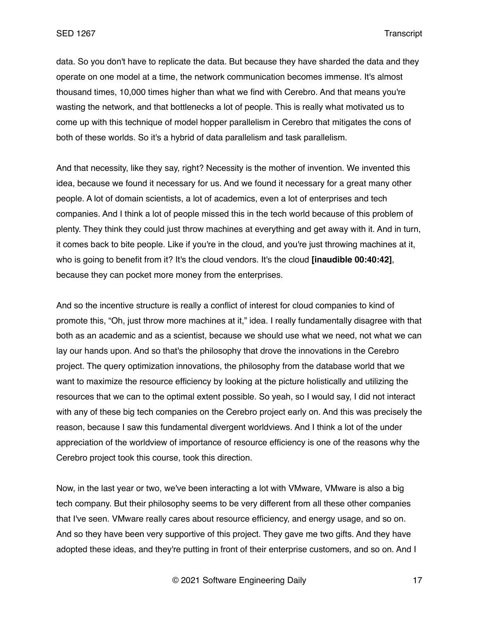data. So you don't have to replicate the data. But because they have sharded the data and they operate on one model at a time, the network communication becomes immense. It's almost thousand times, 10,000 times higher than what we find with Cerebro. And that means you're wasting the network, and that bottlenecks a lot of people. This is really what motivated us to come up with this technique of model hopper parallelism in Cerebro that mitigates the cons of both of these worlds. So it's a hybrid of data parallelism and task parallelism.

And that necessity, like they say, right? Necessity is the mother of invention. We invented this idea, because we found it necessary for us. And we found it necessary for a great many other people. A lot of domain scientists, a lot of academics, even a lot of enterprises and tech companies. And I think a lot of people missed this in the tech world because of this problem of plenty. They think they could just throw machines at everything and get away with it. And in turn, it comes back to bite people. Like if you're in the cloud, and you're just throwing machines at it, who is going to benefit from it? It's the cloud vendors. It's the cloud **[inaudible 00:40:42]**, because they can pocket more money from the enterprises.

And so the incentive structure is really a conflict of interest for cloud companies to kind of promote this, "Oh, just throw more machines at it," idea. I really fundamentally disagree with that both as an academic and as a scientist, because we should use what we need, not what we can lay our hands upon. And so that's the philosophy that drove the innovations in the Cerebro project. The query optimization innovations, the philosophy from the database world that we want to maximize the resource efficiency by looking at the picture holistically and utilizing the resources that we can to the optimal extent possible. So yeah, so I would say, I did not interact with any of these big tech companies on the Cerebro project early on. And this was precisely the reason, because I saw this fundamental divergent worldviews. And I think a lot of the under appreciation of the worldview of importance of resource efficiency is one of the reasons why the Cerebro project took this course, took this direction.

Now, in the last year or two, we've been interacting a lot with VMware, VMware is also a big tech company. But their philosophy seems to be very different from all these other companies that I've seen. VMware really cares about resource efficiency, and energy usage, and so on. And so they have been very supportive of this project. They gave me two gifts. And they have adopted these ideas, and they're putting in front of their enterprise customers, and so on. And I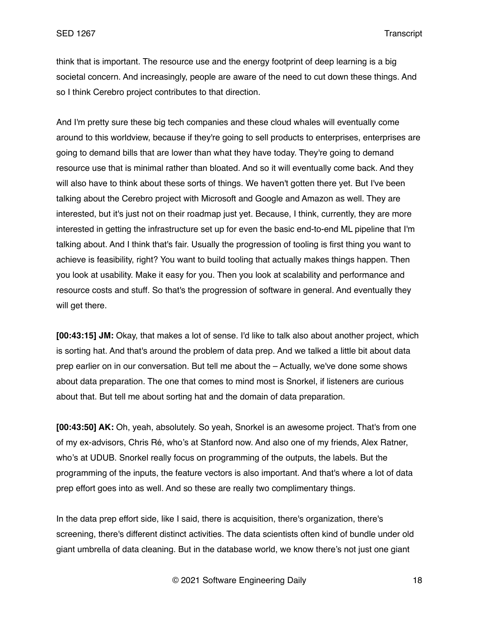think that is important. The resource use and the energy footprint of deep learning is a big societal concern. And increasingly, people are aware of the need to cut down these things. And so I think Cerebro project contributes to that direction.

And I'm pretty sure these big tech companies and these cloud whales will eventually come around to this worldview, because if they're going to sell products to enterprises, enterprises are going to demand bills that are lower than what they have today. They're going to demand resource use that is minimal rather than bloated. And so it will eventually come back. And they will also have to think about these sorts of things. We haven't gotten there yet. But I've been talking about the Cerebro project with Microsoft and Google and Amazon as well. They are interested, but it's just not on their roadmap just yet. Because, I think, currently, they are more interested in getting the infrastructure set up for even the basic end-to-end ML pipeline that I'm talking about. And I think that's fair. Usually the progression of tooling is first thing you want to achieve is feasibility, right? You want to build tooling that actually makes things happen. Then you look at usability. Make it easy for you. Then you look at scalability and performance and resource costs and stuff. So that's the progression of software in general. And eventually they will get there.

**[00:43:15] JM:** Okay, that makes a lot of sense. I'd like to talk also about another project, which is sorting hat. And that's around the problem of data prep. And we talked a little bit about data prep earlier on in our conversation. But tell me about the – Actually, we've done some shows about data preparation. The one that comes to mind most is Snorkel, if listeners are curious about that. But tell me about sorting hat and the domain of data preparation.

**[00:43:50] AK:** Oh, yeah, absolutely. So yeah, Snorkel is an awesome project. That's from one of my ex-advisors, Chris Ré, who's at Stanford now. And also one of my friends, Alex Ratner, who's at UDUB. Snorkel really focus on programming of the outputs, the labels. But the programming of the inputs, the feature vectors is also important. And that's where a lot of data prep effort goes into as well. And so these are really two complimentary things.

In the data prep effort side, like I said, there is acquisition, there's organization, there's screening, there's different distinct activities. The data scientists often kind of bundle under old giant umbrella of data cleaning. But in the database world, we know there's not just one giant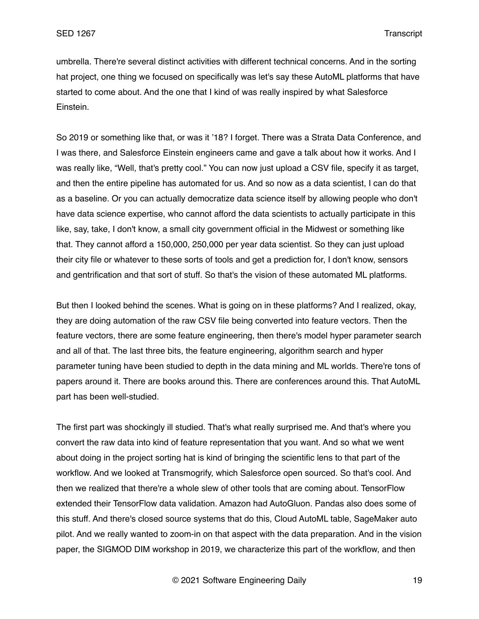umbrella. There're several distinct activities with different technical concerns. And in the sorting hat project, one thing we focused on specifically was let's say these AutoML platforms that have started to come about. And the one that I kind of was really inspired by what Salesforce Einstein.

So 2019 or something like that, or was it '18? I forget. There was a Strata Data Conference, and I was there, and Salesforce Einstein engineers came and gave a talk about how it works. And I was really like, "Well, that's pretty cool." You can now just upload a CSV file, specify it as target, and then the entire pipeline has automated for us. And so now as a data scientist, I can do that as a baseline. Or you can actually democratize data science itself by allowing people who don't have data science expertise, who cannot afford the data scientists to actually participate in this like, say, take, I don't know, a small city government official in the Midwest or something like that. They cannot afford a 150,000, 250,000 per year data scientist. So they can just upload their city file or whatever to these sorts of tools and get a prediction for, I don't know, sensors and gentrification and that sort of stuff. So that's the vision of these automated ML platforms.

But then I looked behind the scenes. What is going on in these platforms? And I realized, okay, they are doing automation of the raw CSV file being converted into feature vectors. Then the feature vectors, there are some feature engineering, then there's model hyper parameter search and all of that. The last three bits, the feature engineering, algorithm search and hyper parameter tuning have been studied to depth in the data mining and ML worlds. There're tons of papers around it. There are books around this. There are conferences around this. That AutoML part has been well-studied.

The first part was shockingly ill studied. That's what really surprised me. And that's where you convert the raw data into kind of feature representation that you want. And so what we went about doing in the project sorting hat is kind of bringing the scientific lens to that part of the workflow. And we looked at Transmogrify, which Salesforce open sourced. So that's cool. And then we realized that there're a whole slew of other tools that are coming about. TensorFlow extended their TensorFlow data validation. Amazon had AutoGluon. Pandas also does some of this stuff. And there's closed source systems that do this, Cloud AutoML table, SageMaker auto pilot. And we really wanted to zoom-in on that aspect with the data preparation. And in the vision paper, the SIGMOD DIM workshop in 2019, we characterize this part of the workflow, and then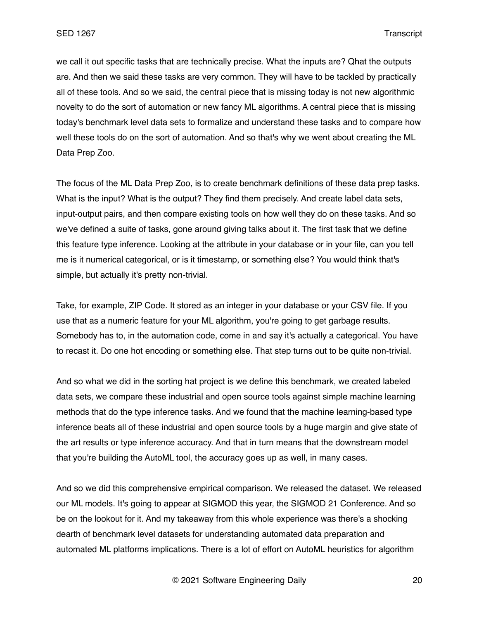we call it out specific tasks that are technically precise. What the inputs are? Qhat the outputs are. And then we said these tasks are very common. They will have to be tackled by practically all of these tools. And so we said, the central piece that is missing today is not new algorithmic novelty to do the sort of automation or new fancy ML algorithms. A central piece that is missing today's benchmark level data sets to formalize and understand these tasks and to compare how well these tools do on the sort of automation. And so that's why we went about creating the ML Data Prep Zoo.

The focus of the ML Data Prep Zoo, is to create benchmark definitions of these data prep tasks. What is the input? What is the output? They find them precisely. And create label data sets, input-output pairs, and then compare existing tools on how well they do on these tasks. And so we've defined a suite of tasks, gone around giving talks about it. The first task that we define this feature type inference. Looking at the attribute in your database or in your file, can you tell me is it numerical categorical, or is it timestamp, or something else? You would think that's simple, but actually it's pretty non-trivial.

Take, for example, ZIP Code. It stored as an integer in your database or your CSV file. If you use that as a numeric feature for your ML algorithm, you're going to get garbage results. Somebody has to, in the automation code, come in and say it's actually a categorical. You have to recast it. Do one hot encoding or something else. That step turns out to be quite non-trivial.

And so what we did in the sorting hat project is we define this benchmark, we created labeled data sets, we compare these industrial and open source tools against simple machine learning methods that do the type inference tasks. And we found that the machine learning-based type inference beats all of these industrial and open source tools by a huge margin and give state of the art results or type inference accuracy. And that in turn means that the downstream model that you're building the AutoML tool, the accuracy goes up as well, in many cases.

And so we did this comprehensive empirical comparison. We released the dataset. We released our ML models. It's going to appear at SIGMOD this year, the SIGMOD 21 Conference. And so be on the lookout for it. And my takeaway from this whole experience was there's a shocking dearth of benchmark level datasets for understanding automated data preparation and automated ML platforms implications. There is a lot of effort on AutoML heuristics for algorithm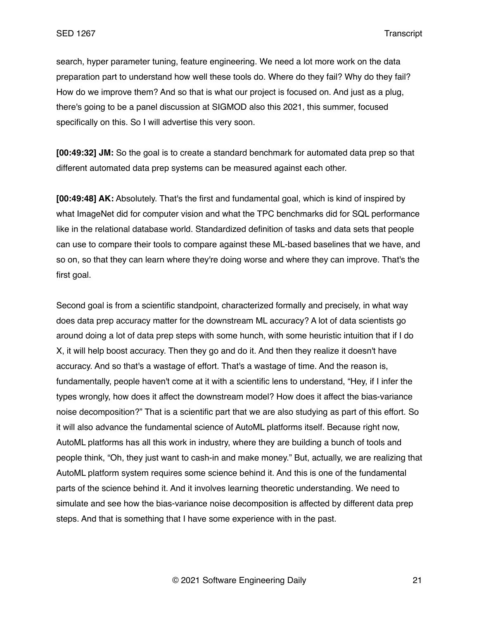search, hyper parameter tuning, feature engineering. We need a lot more work on the data preparation part to understand how well these tools do. Where do they fail? Why do they fail? How do we improve them? And so that is what our project is focused on. And just as a plug, there's going to be a panel discussion at SIGMOD also this 2021, this summer, focused specifically on this. So I will advertise this very soon.

**[00:49:32] JM:** So the goal is to create a standard benchmark for automated data prep so that different automated data prep systems can be measured against each other.

**[00:49:48] AK:** Absolutely. That's the first and fundamental goal, which is kind of inspired by what ImageNet did for computer vision and what the TPC benchmarks did for SQL performance like in the relational database world. Standardized definition of tasks and data sets that people can use to compare their tools to compare against these ML-based baselines that we have, and so on, so that they can learn where they're doing worse and where they can improve. That's the first goal.

Second goal is from a scientific standpoint, characterized formally and precisely, in what way does data prep accuracy matter for the downstream ML accuracy? A lot of data scientists go around doing a lot of data prep steps with some hunch, with some heuristic intuition that if I do X, it will help boost accuracy. Then they go and do it. And then they realize it doesn't have accuracy. And so that's a wastage of effort. That's a wastage of time. And the reason is, fundamentally, people haven't come at it with a scientific lens to understand, "Hey, if I infer the types wrongly, how does it affect the downstream model? How does it affect the bias-variance noise decomposition?" That is a scientific part that we are also studying as part of this effort. So it will also advance the fundamental science of AutoML platforms itself. Because right now, AutoML platforms has all this work in industry, where they are building a bunch of tools and people think, "Oh, they just want to cash-in and make money." But, actually, we are realizing that AutoML platform system requires some science behind it. And this is one of the fundamental parts of the science behind it. And it involves learning theoretic understanding. We need to simulate and see how the bias-variance noise decomposition is affected by different data prep steps. And that is something that I have some experience with in the past.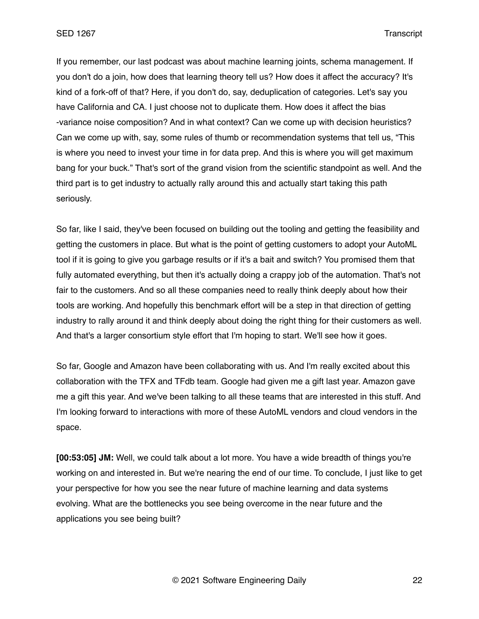If you remember, our last podcast was about machine learning joints, schema management. If you don't do a join, how does that learning theory tell us? How does it affect the accuracy? It's kind of a fork-off of that? Here, if you don't do, say, deduplication of categories. Let's say you have California and CA. I just choose not to duplicate them. How does it affect the bias -variance noise composition? And in what context? Can we come up with decision heuristics? Can we come up with, say, some rules of thumb or recommendation systems that tell us, "This is where you need to invest your time in for data prep. And this is where you will get maximum bang for your buck." That's sort of the grand vision from the scientific standpoint as well. And the third part is to get industry to actually rally around this and actually start taking this path seriously.

So far, like I said, they've been focused on building out the tooling and getting the feasibility and getting the customers in place. But what is the point of getting customers to adopt your AutoML tool if it is going to give you garbage results or if it's a bait and switch? You promised them that fully automated everything, but then it's actually doing a crappy job of the automation. That's not fair to the customers. And so all these companies need to really think deeply about how their tools are working. And hopefully this benchmark effort will be a step in that direction of getting industry to rally around it and think deeply about doing the right thing for their customers as well. And that's a larger consortium style effort that I'm hoping to start. We'll see how it goes.

So far, Google and Amazon have been collaborating with us. And I'm really excited about this collaboration with the TFX and TFdb team. Google had given me a gift last year. Amazon gave me a gift this year. And we've been talking to all these teams that are interested in this stuff. And I'm looking forward to interactions with more of these AutoML vendors and cloud vendors in the space.

**[00:53:05] JM:** Well, we could talk about a lot more. You have a wide breadth of things you're working on and interested in. But we're nearing the end of our time. To conclude, I just like to get your perspective for how you see the near future of machine learning and data systems evolving. What are the bottlenecks you see being overcome in the near future and the applications you see being built?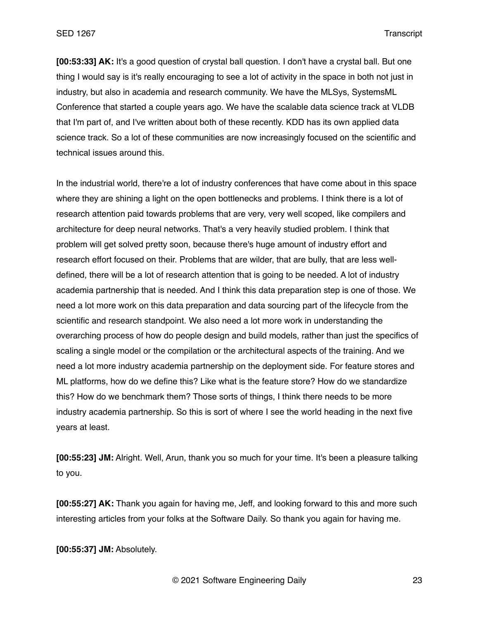SED 1267 Transcript

**[00:53:33] AK:** It's a good question of crystal ball question. I don't have a crystal ball. But one thing I would say is it's really encouraging to see a lot of activity in the space in both not just in industry, but also in academia and research community. We have the MLSys, SystemsML Conference that started a couple years ago. We have the scalable data science track at VLDB that I'm part of, and I've written about both of these recently. KDD has its own applied data science track. So a lot of these communities are now increasingly focused on the scientific and technical issues around this.

In the industrial world, there're a lot of industry conferences that have come about in this space where they are shining a light on the open bottlenecks and problems. I think there is a lot of research attention paid towards problems that are very, very well scoped, like compilers and architecture for deep neural networks. That's a very heavily studied problem. I think that problem will get solved pretty soon, because there's huge amount of industry effort and research effort focused on their. Problems that are wilder, that are bully, that are less welldefined, there will be a lot of research attention that is going to be needed. A lot of industry academia partnership that is needed. And I think this data preparation step is one of those. We need a lot more work on this data preparation and data sourcing part of the lifecycle from the scientific and research standpoint. We also need a lot more work in understanding the overarching process of how do people design and build models, rather than just the specifics of scaling a single model or the compilation or the architectural aspects of the training. And we need a lot more industry academia partnership on the deployment side. For feature stores and ML platforms, how do we define this? Like what is the feature store? How do we standardize this? How do we benchmark them? Those sorts of things, I think there needs to be more industry academia partnership. So this is sort of where I see the world heading in the next five years at least.

**[00:55:23] JM:** Alright. Well, Arun, thank you so much for your time. It's been a pleasure talking to you.

**[00:55:27] AK:** Thank you again for having me, Jeff, and looking forward to this and more such interesting articles from your folks at the Software Daily. So thank you again for having me.

**[00:55:37] JM:** Absolutely.